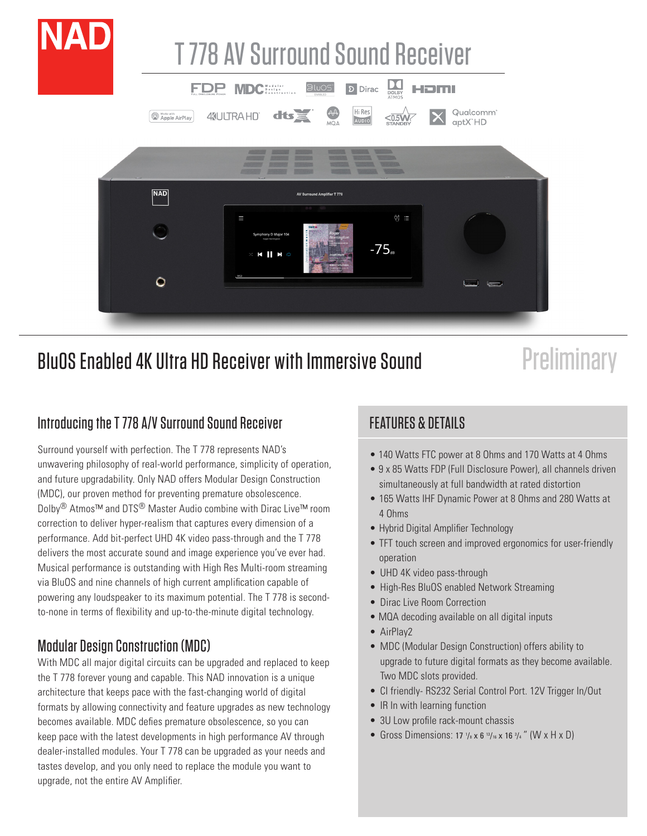

# BluOS Enabled 4K Ultra HD Receiver with Immersive Sound

# **Preliminary**

#### Introducing the T 778 A/V Surround Sound Receiver

Surround yourself with perfection. The T 778 represents NAD's unwavering philosophy of real-world performance, simplicity of operation, and future upgradability. Only NAD offers Modular Design Construction (MDC), our proven method for preventing premature obsolescence. Dolby<sup>®</sup> Atmos™ and DTS<sup>®</sup> Master Audio combine with Dirac Live™ room correction to deliver hyper-realism that captures every dimension of a performance. Add bit-perfect UHD 4K video pass-through and the T 778 delivers the most accurate sound and image experience you've ever had. Musical performance is outstanding with High Res Multi-room streaming via BluOS and nine channels of high current amplification capable of powering any loudspeaker to its maximum potential. The T 778 is secondto-none in terms of flexibility and up-to-the-minute digital technology.

#### Modular Design Construction (MDC)

With MDC all major digital circuits can be upgraded and replaced to keep the T 778 forever young and capable. This NAD innovation is a unique architecture that keeps pace with the fast-changing world of digital formats by allowing connectivity and feature upgrades as new technology becomes available. MDC defies premature obsolescence, so you can keep pace with the latest developments in high performance AV through dealer-installed modules. Your T 778 can be upgraded as your needs and tastes develop, and you only need to replace the module you want to upgrade, not the entire AV Amplifier.

## FEATURES & DETAILS

- 140 Watts FTC power at 8 Ohms and 170 Watts at 4 Ohms
- 9 x 85 Watts FDP (Full Disclosure Power), all channels driven simultaneously at full bandwidth at rated distortion
- 165 Watts IHF Dynamic Power at 8 Ohms and 280 Watts at 4 Ohms
- Hybrid Digital Amplifier Technology
- TFT touch screen and improved ergonomics for user-friendly operation
- UHD 4K video pass-through
- High-Res BluOS enabled Network Streaming
- Dirac Live Room Correction
- MQA decoding available on all digital inputs
- AirPlay2
- MDC (Modular Design Construction) offers ability to upgrade to future digital formats as they become available. Two MDC slots provided.
- CI friendly- RS232 Serial Control Port. 12V Trigger In/Out
- IR In with learning function
- 3U Low profile rack-mount chassis
- Gross Dimensions: 17  $\frac{1}{8}$  x 6  $\frac{13}{16}$  x 16  $\frac{3}{4}$  " (W x H x D)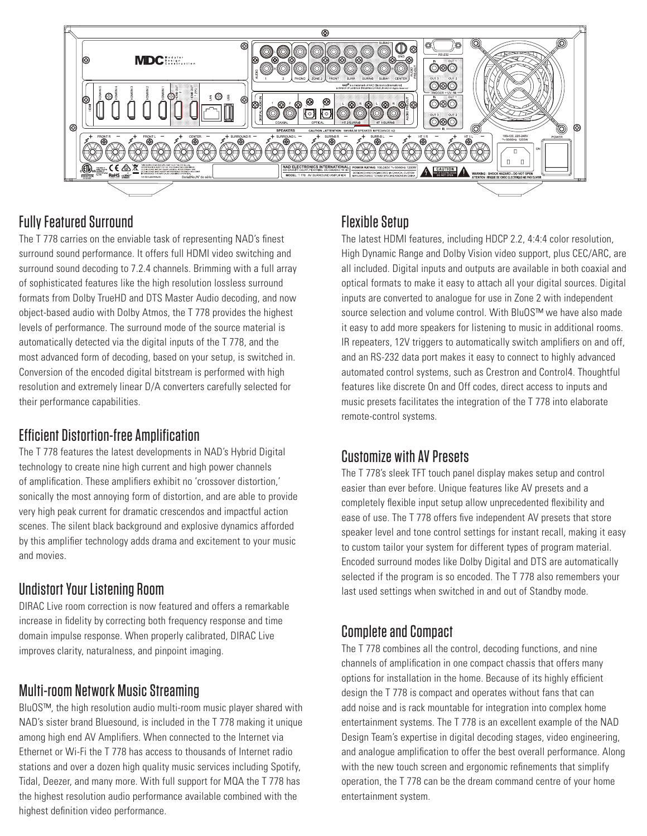

#### Fully Featured Surround

The T 778 carries on the enviable task of representing NAD's finest surround sound performance. It offers full HDMI video switching and surround sound decoding to 7.2.4 channels. Brimming with a full array of sophisticated features like the high resolution lossless surround formats from Dolby TrueHD and DTS Master Audio decoding, and now object-based audio with Dolby Atmos, the T 778 provides the highest levels of performance. The surround mode of the source material is automatically detected via the digital inputs of the T 778, and the most advanced form of decoding, based on your setup, is switched in. Conversion of the encoded digital bitstream is performed with high resolution and extremely linear D/A converters carefully selected for their performance capabilities.

#### Efficient Distortion-free Amplification

The T 778 features the latest developments in NAD's Hybrid Digital technology to create nine high current and high power channels of amplification. These amplifiers exhibit no 'crossover distortion,' sonically the most annoying form of distortion, and are able to provide very high peak current for dramatic crescendos and impactful action scenes. The silent black background and explosive dynamics afforded by this amplifier technology adds drama and excitement to your music and movies.

#### Undistort Your Listening Room

DIRAC Live room correction is now featured and offers a remarkable increase in fidelity by correcting both frequency response and time domain impulse response. When properly calibrated, DIRAC Live improves clarity, naturalness, and pinpoint imaging.

#### Multi-room Network Music Streaming

BluOS™, the high resolution audio multi-room music player shared with NAD's sister brand Bluesound, is included in the T 778 making it unique among high end AV Amplifiers. When connected to the Internet via Ethernet or Wi-Fi the T 778 has access to thousands of Internet radio stations and over a dozen high quality music services including Spotify, Tidal, Deezer, and many more. With full support for MQA the T 778 has the highest resolution audio performance available combined with the highest definition video performance.

#### Flexible Setup

The latest HDMI features, including HDCP 2.2, 4:4:4 color resolution, High Dynamic Range and Dolby Vision video support, plus CEC/ARC, are all included. Digital inputs and outputs are available in both coaxial and optical formats to make it easy to attach all your digital sources. Digital inputs are converted to analogue for use in Zone 2 with independent source selection and volume control. With BluOS™ we have also made it easy to add more speakers for listening to music in additional rooms. IR repeaters, 12V triggers to automatically switch amplifiers on and off, and an RS-232 data port makes it easy to connect to highly advanced automated control systems, such as Crestron and Control4. Thoughtful features like discrete On and Off codes, direct access to inputs and music presets facilitates the integration of the T 778 into elaborate remote-control systems.

#### Customize with AV Presets

The T 778's sleek TFT touch panel display makes setup and control easier than ever before. Unique features like AV presets and a completely flexible input setup allow unprecedented flexibility and ease of use. The T 778 offers five independent AV presets that store speaker level and tone control settings for instant recall, making it easy to custom tailor your system for different types of program material. Encoded surround modes like Dolby Digital and DTS are automatically selected if the program is so encoded. The T 778 also remembers your last used settings when switched in and out of Standby mode.

#### Complete and Compact

The T 778 combines all the control, decoding functions, and nine channels of amplification in one compact chassis that offers many options for installation in the home. Because of its highly efficient design the T 778 is compact and operates without fans that can add noise and is rack mountable for integration into complex home entertainment systems. The T 778 is an excellent example of the NAD Design Team's expertise in digital decoding stages, video engineering, and analogue amplification to offer the best overall performance. Along with the new touch screen and ergonomic refinements that simplify operation, the T 778 can be the dream command centre of your home entertainment system.